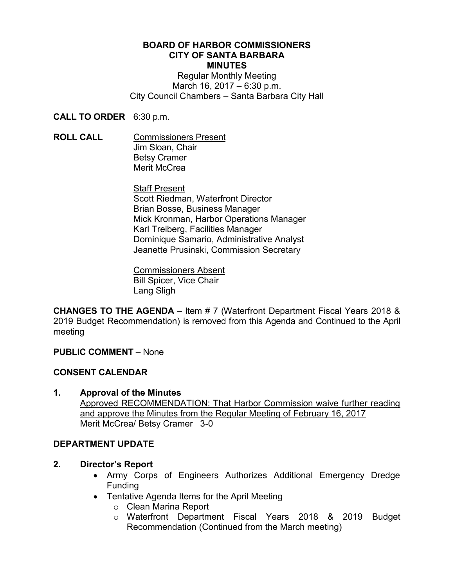#### **BOARD OF HARBOR COMMISSIONERS CITY OF SANTA BARBARA MINUTES**

Regular Monthly Meeting March 16, 2017 – 6:30 p.m. City Council Chambers – Santa Barbara City Hall

**CALL TO ORDER** 6:30 p.m.

**ROLL CALL** Commissioners Present Jim Sloan, Chair Betsy Cramer Merit McCrea

> Staff Present Scott Riedman, Waterfront Director Brian Bosse, Business Manager Mick Kronman, Harbor Operations Manager Karl Treiberg, Facilities Manager Dominique Samario, Administrative Analyst Jeanette Prusinski, Commission Secretary

Commissioners Absent Bill Spicer, Vice Chair Lang Sligh

**CHANGES TO THE AGENDA** – Item # 7 (Waterfront Department Fiscal Years 2018 & 2019 Budget Recommendation) is removed from this Agenda and Continued to the April meeting

**PUBLIC COMMENT** – None

# **CONSENT CALENDAR**

**1. Approval of the Minutes**  Approved RECOMMENDATION: That Harbor Commission waive further reading and approve the Minutes from the Regular Meeting of February 16, 2017 Merit McCrea/ Betsy Cramer 3-0

# **DEPARTMENT UPDATE**

- **2. Director's Report**
	- Army Corps of Engineers Authorizes Additional Emergency Dredge Funding
	- Tentative Agenda Items for the April Meeting
		- o Clean Marina Report
		- o Waterfront Department Fiscal Years 2018 & 2019 Budget Recommendation (Continued from the March meeting)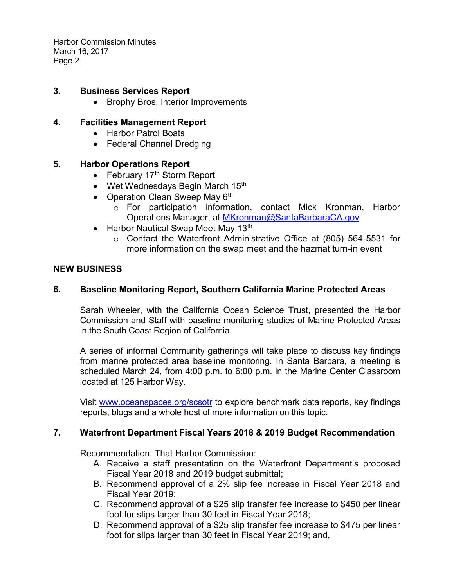Harbor Commission Minutes March 16, 2017 Page 2

# **3. Business Services Report**

• Brophy Bros. Interior Improvements

# **4. Facilities Management Report**

- Harbor Patrol Boats
- Federal Channel Dredging

# **5. Harbor Operations Report**

- February 17<sup>th</sup> Storm Report
- Wet Wednesdays Begin March 15<sup>th</sup>
- Operation Clean Sweep May  $6<sup>th</sup>$ 
	- o For participation information, contact Mick Kronman, Harbor Operations Manager, at [MKronman@SantaBarbaraCA.gov](mailto:MKronman@SantaBarbaraCA.gov)
- Harbor Nautical Swap Meet May 13<sup>th</sup>
	- o Contact the Waterfront Administrative Office at (805) 564-5531 for more information on the swap meet and the hazmat turn-in event

#### **NEW BUSINESS**

# **6. Baseline Monitoring Report, Southern California Marine Protected Areas**

Sarah Wheeler, with the California Ocean Science Trust, presented the Harbor Commission and Staff with baseline monitoring studies of Marine Protected Areas in the South Coast Region of California.

A series of informal Community gatherings will take place to discuss key findings from marine protected area baseline monitoring. In Santa Barbara, a meeting is scheduled March 24, from 4:00 p.m. to 6:00 p.m. in the Marine Center Classroom located at 125 Harbor Way.

Visit [www.oceanspaces.org/scsotr](http://www.oceanspaces.org/scsotr) to explore benchmark data reports, key findings reports, blogs and a whole host of more information on this topic.

# **7. Waterfront Department Fiscal Years 2018 & 2019 Budget Recommendation**

Recommendation: That Harbor Commission:

- A. Receive a staff presentation on the Waterfront Department's proposed Fiscal Year 2018 and 2019 budget submittal;
- B. Recommend approval of a 2% slip fee increase in Fiscal Year 2018 and Fiscal Year 2019;
- C. Recommend approval of a \$25 slip transfer fee increase to \$450 per linear foot for slips larger than 30 feet in Fiscal Year 2018;
- D. Recommend approval of a \$25 slip transfer fee increase to \$475 per linear foot for slips larger than 30 feet in Fiscal Year 2019; and,